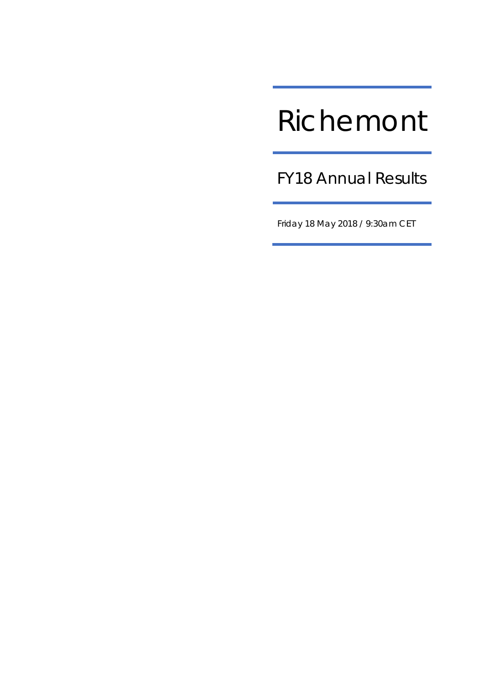# Richemont

FY18 Annual Results

Friday 18 May 2018 / 9:30am CET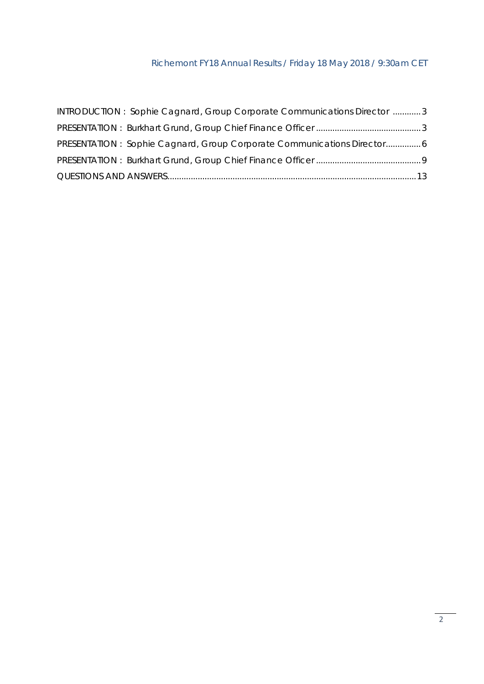| INTRODUCTION: Sophie Cagnard, Group Corporate Communications Director 3 |  |
|-------------------------------------------------------------------------|--|
|                                                                         |  |
| PRESENTATION: Sophie Cagnard, Group Corporate Communications Director6  |  |
|                                                                         |  |
|                                                                         |  |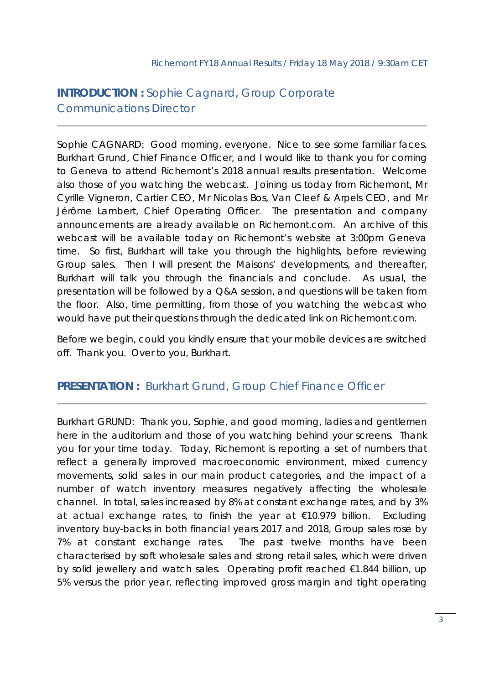# **INTRODUCTION :** Sophie Cagnard, Group Corporate Communications Director

Sophie CAGNARD: Good morning, everyone. Nice to see some familiar faces. Burkhart Grund, Chief Finance Officer, and I would like to thank you for coming to Geneva to attend Richemont's 2018 annual results presentation. Welcome also those of you watching the webcast. Joining us today from Richemont, Mr Cyrille Vigneron, Cartier CEO, Mr Nicolas Bos, Van Cleef & Arpels CEO, and Mr Jérôme Lambert, Chief Operating Officer. The presentation and company announcements are already available on Richemont.com. An archive of this webcast will be available today on Richemont's website at 3:00pm Geneva time. So first, Burkhart will take you through the highlights, before reviewing Group sales. Then I will present the Maisons' developments, and thereafter, Burkhart will talk you through the financials and conclude. As usual, the presentation will be followed by a Q&A session, and questions will be taken from the floor. Also, time permitting, from those of you watching the webcast who would have put their questions through the dedicated link on Richemont.com.

Before we begin, could you kindly ensure that your mobile devices are switched off. Thank you. Over to you, Burkhart.

## **PRESENTATION :** Burkhart Grund, Group Chief Finance Officer

Burkhart GRUND: Thank you, Sophie, and good morning, ladies and gentlemen here in the auditorium and those of you watching behind your screens. Thank you for your time today. Today, Richemont is reporting a set of numbers that reflect a generally improved macroeconomic environment, mixed currency movements, solid sales in our main product categories, and the impact of a number of watch inventory measures negatively affecting the wholesale channel. In total, sales increased by 8% at constant exchange rates, and by 3% at actual exchange rates, to finish the year at €10.979 billion. Excluding inventory buy-backs in both financial years 2017 and 2018, Group sales rose by 7% at constant exchange rates. The past twelve months have been characterised by soft wholesale sales and strong retail sales, which were driven by solid jewellery and watch sales. Operating profit reached €1.844 billion, up 5% versus the prior year, reflecting improved gross margin and tight operating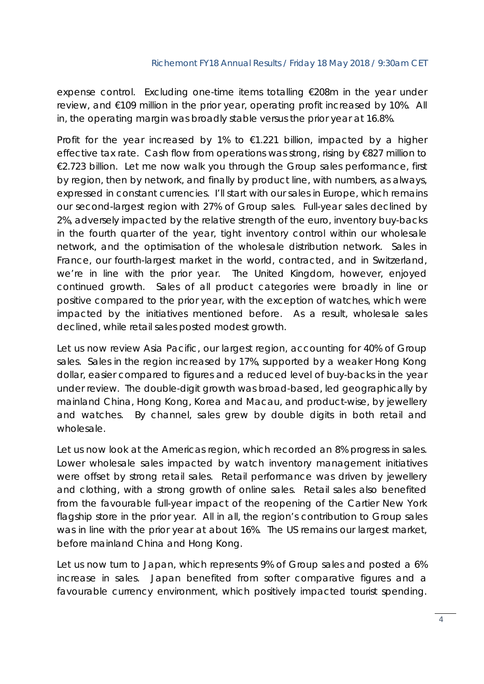expense control. Excluding one-time items totalling €208m in the year under review, and €109 million in the prior year, operating profit increased by 10%. All in, the operating margin was broadly stable versus the prior year at 16.8%.

Profit for the year increased by 1% to  $\epsilon$ 1.221 billion, impacted by a higher effective tax rate. Cash flow from operations was strong, rising by €827 million to €2.723 billion. Let me now walk you through the Group sales performance, first by region, then by network, and finally by product line, with numbers, as always, expressed in constant currencies. I'll start with our sales in Europe, which remains our second-largest region with 27% of Group sales. Full-year sales declined by 2%, adversely impacted by the relative strength of the euro, inventory buy-backs in the fourth quarter of the year, tight inventory control within our wholesale network, and the optimisation of the wholesale distribution network. Sales in France, our fourth-largest market in the world, contracted, and in Switzerland, we're in line with the prior year. The United Kingdom, however, enjoyed continued growth. Sales of all product categories were broadly in line or positive compared to the prior year, with the exception of watches, which were impacted by the initiatives mentioned before. As a result, wholesale sales declined, while retail sales posted modest growth.

Let us now review Asia Pacific, our largest region, accounting for 40% of Group sales. Sales in the region increased by 17%, supported by a weaker Hong Kong dollar, easier compared to figures and a reduced level of buy-backs in the year under review. The double-digit growth was broad-based, led geographically by mainland China, Hong Kong, Korea and Macau, and product-wise, by jewellery and watches. By channel, sales grew by double digits in both retail and wholesale.

Let us now look at the Americas region, which recorded an 8% progress in sales. Lower wholesale sales impacted by watch inventory management initiatives were offset by strong retail sales. Retail performance was driven by jewellery and clothing, with a strong growth of online sales. Retail sales also benefited from the favourable full-year impact of the reopening of the Cartier New York flagship store in the prior year. All in all, the region's contribution to Group sales was in line with the prior year at about 16%. The US remains our largest market, before mainland China and Hong Kong.

Let us now turn to Japan, which represents 9% of Group sales and posted a 6% increase in sales. Japan benefited from softer comparative figures and a favourable currency environment, which positively impacted tourist spending.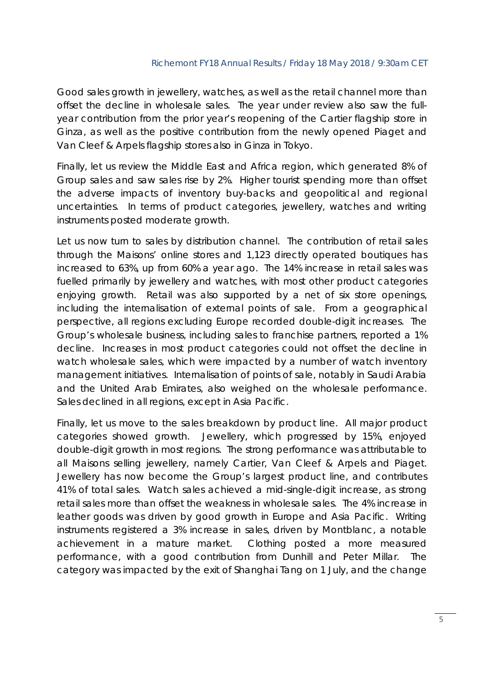Good sales growth in jewellery, watches, as well as the retail channel more than offset the decline in wholesale sales. The year under review also saw the fullyear contribution from the prior year's reopening of the Cartier flagship store in Ginza, as well as the positive contribution from the newly opened Piaget and Van Cleef & Arpels flagship stores also in Ginza in Tokyo.

Finally, let us review the Middle East and Africa region, which generated 8% of Group sales and saw sales rise by 2%. Higher tourist spending more than offset the adverse impacts of inventory buy-backs and geopolitical and regional uncertainties. In terms of product categories, jewellery, watches and writing instruments posted moderate growth.

Let us now turn to sales by distribution channel. The contribution of retail sales through the Maisons' online stores and 1,123 directly operated boutiques has increased to 63%, up from 60% a year ago. The 14% increase in retail sales was fuelled primarily by jewellery and watches, with most other product categories enjoying growth. Retail was also supported by a net of six store openings, including the internalisation of external points of sale. From a geographical perspective, all regions excluding Europe recorded double-digit increases. The Group's wholesale business, including sales to franchise partners, reported a 1% decline. Increases in most product categories could not offset the decline in watch wholesale sales, which were impacted by a number of watch inventory management initiatives. Internalisation of points of sale, notably in Saudi Arabia and the United Arab Emirates, also weighed on the wholesale performance. Sales declined in all regions, except in Asia Pacific.

Finally, let us move to the sales breakdown by product line. All major product categories showed growth. Jewellery, which progressed by 15%, enjoyed double-digit growth in most regions. The strong performance was attributable to all Maisons selling jewellery, namely Cartier, Van Cleef & Arpels and Piaget. Jewellery has now become the Group's largest product line, and contributes 41% of total sales. Watch sales achieved a mid-single-digit increase, as strong retail sales more than offset the weakness in wholesale sales. The 4% increase in leather goods was driven by good growth in Europe and Asia Pacific. Writing instruments registered a 3% increase in sales, driven by Montblanc, a notable achievement in a mature market. Clothing posted a more measured performance, with a good contribution from Dunhill and Peter Millar. The category was impacted by the exit of Shanghai Tang on 1 July, and the change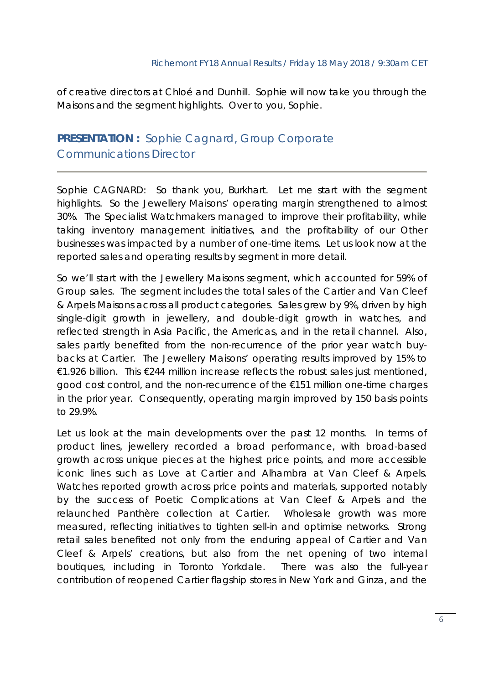of creative directors at Chloé and Dunhill. Sophie will now take you through the Maisons and the segment highlights. Over to you, Sophie.

# **PRESENTATION :** Sophie Cagnard, Group Corporate Communications Director

Sophie CAGNARD: So thank you, Burkhart. Let me start with the segment highlights. So the Jewellery Maisons' operating margin strengthened to almost 30%. The Specialist Watchmakers managed to improve their profitability, while taking inventory management initiatives, and the profitability of our Other businesses was impacted by a number of one-time items. Let us look now at the reported sales and operating results by segment in more detail.

So we'll start with the Jewellery Maisons segment, which accounted for 59% of Group sales. The segment includes the total sales of the Cartier and Van Cleef & Arpels Maisons across all product categories. Sales grew by 9%, driven by high single-digit growth in jewellery, and double-digit growth in watches, and reflected strength in Asia Pacific, the Americas, and in the retail channel. Also, sales partly benefited from the non-recurrence of the prior year watch buybacks at Cartier. The Jewellery Maisons' operating results improved by 15% to €1.926 billion. This €244 million increase reflects the robust sales just mentioned, good cost control, and the non-recurrence of the €151 million one-time charges in the prior year. Consequently, operating margin improved by 150 basis points to 29.9%.

Let us look at the main developments over the past 12 months. In terms of product lines, jewellery recorded a broad performance, with broad-based growth across unique pieces at the highest price points, and more accessible iconic lines such as *Love* at Cartier and *Alhambra* at Van Cleef & Arpels. Watches reported growth across price points and materials, supported notably by the success of *Poetic Complications* at Van Cleef & Arpels and the relaunched *Panthère* collection at Cartier. Wholesale growth was more measured, reflecting initiatives to tighten sell-in and optimise networks. Strong retail sales benefited not only from the enduring appeal of Cartier and Van Cleef & Arpels' creations, but also from the net opening of two internal boutiques, including in Toronto Yorkdale. There was also the full-year contribution of reopened Cartier flagship stores in New York and Ginza, and the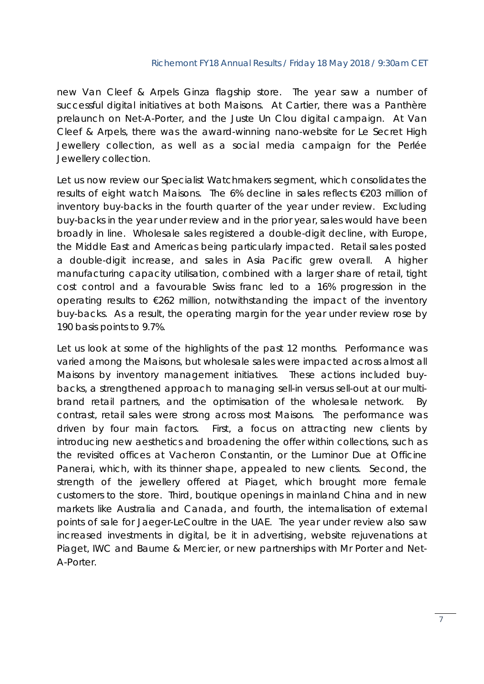new Van Cleef & Arpels Ginza flagship store. The year saw a number of successful digital initiatives at both Maisons. At Cartier, there was a Panthère prelaunch on Net-A-Porter, and the Juste Un Clou digital campaign. At Van Cleef & Arpels, there was the award-winning nano-website for Le Secret High Jewellery collection, as well as a social media campaign for the Perlée Jewellery collection.

Let us now review our Specialist Watchmakers segment, which consolidates the results of eight watch Maisons. The 6% decline in sales reflects €203 million of inventory buy-backs in the fourth quarter of the year under review. Excluding buy-backs in the year under review and in the prior year, sales would have been broadly in line. Wholesale sales registered a double-digit decline, with Europe, the Middle East and Americas being particularly impacted. Retail sales posted a double-digit increase, and sales in Asia Pacific grew overall. A higher manufacturing capacity utilisation, combined with a larger share of retail, tight cost control and a favourable Swiss franc led to a 16% progression in the operating results to  $\epsilon$ 262 million, notwithstanding the impact of the inventory buy-backs. As a result, the operating margin for the year under review rose by 190 basis points to 9.7%.

Let us look at some of the highlights of the past 12 months. Performance was varied among the Maisons, but wholesale sales were impacted across almost all Maisons by inventory management initiatives. These actions included buybacks, a strengthened approach to managing sell-in versus sell-out at our multibrand retail partners, and the optimisation of the wholesale network. By contrast, retail sales were strong across most Maisons. The performance was driven by four main factors. First, a focus on attracting new clients by introducing new aesthetics and broadening the offer within collections, such as the revisited offices at Vacheron Constantin, or the Luminor Due at Officine Panerai, which, with its thinner shape, appealed to new clients. Second, the strength of the jewellery offered at Piaget, which brought more female customers to the store. Third, boutique openings in mainland China and in new markets like Australia and Canada, and fourth, the internalisation of external points of sale for Jaeger-LeCoultre in the UAE. The year under review also saw increased investments in digital, be it in advertising, website rejuvenations at Piaget, IWC and Baume & Mercier, or new partnerships with Mr Porter and Net-A-Porter.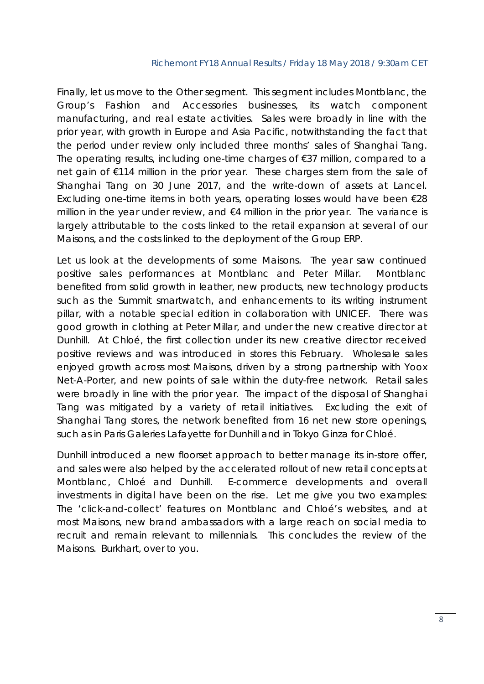Finally, let us move to the Other segment. This segment includes Montblanc, the Group's Fashion and Accessories businesses, its watch component manufacturing, and real estate activities. Sales were broadly in line with the prior year, with growth in Europe and Asia Pacific, notwithstanding the fact that the period under review only included three months' sales of Shanghai Tang. The operating results, including one-time charges of €37 million, compared to a net gain of €114 million in the prior year. These charges stem from the sale of Shanghai Tang on 30 June 2017, and the write-down of assets at Lancel. Excluding one-time items in both years, operating losses would have been €28 million in the year under review, and  $\epsilon$ 4 million in the prior year. The variance is largely attributable to the costs linked to the retail expansion at several of our Maisons, and the costs linked to the deployment of the Group ERP.

Let us look at the developments of some Maisons. The year saw continued positive sales performances at Montblanc and Peter Millar. Montblanc benefited from solid growth in leather, new products, new technology products such as the Summit smartwatch, and enhancements to its writing instrument pillar, with a notable special edition in collaboration with UNICEF. There was good growth in clothing at Peter Millar, and under the new creative director at Dunhill. At Chloé, the first collection under its new creative director received positive reviews and was introduced in stores this February. Wholesale sales enjoyed growth across most Maisons, driven by a strong partnership with Yoox Net-A-Porter, and new points of sale within the duty-free network. Retail sales were broadly in line with the prior year. The impact of the disposal of Shanghai Tang was mitigated by a variety of retail initiatives. Excluding the exit of Shanghai Tang stores, the network benefited from 16 net new store openings, such as in Paris Galeries Lafayette for Dunhill and in Tokyo Ginza for Chloé.

Dunhill introduced a new floorset approach to better manage its in-store offer, and sales were also helped by the accelerated rollout of new retail concepts at Montblanc, Chloé and Dunhill. E-commerce developments and overall investments in digital have been on the rise. Let me give you two examples: The 'click-and-collect' features on Montblanc and Chloé's websites, and at most Maisons, new brand ambassadors with a large reach on social media to recruit and remain relevant to millennials. This concludes the review of the Maisons. Burkhart, over to you.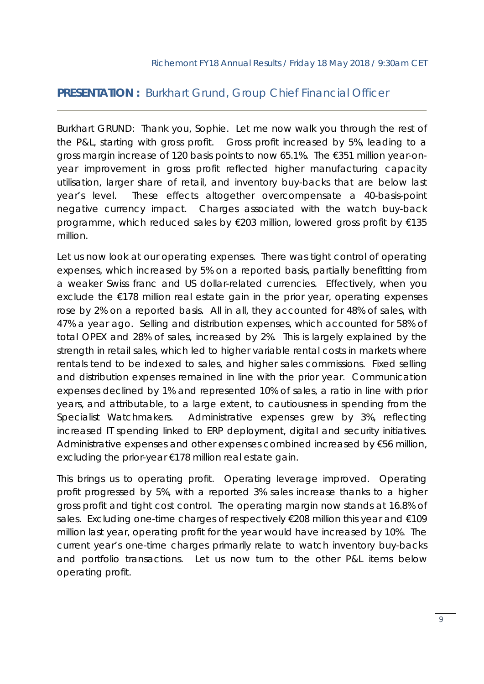## **PRESENTATION :** Burkhart Grund, Group Chief Financial Officer

Burkhart GRUND: Thank you, Sophie. Let me now walk you through the rest of the P&L, starting with gross profit. Gross profit increased by 5%, leading to a gross margin increase of 120 basis points to now 65.1%. The €351 million year-onyear improvement in gross profit reflected higher manufacturing capacity utilisation, larger share of retail, and inventory buy-backs that are below last year's level. These effects altogether overcompensate a 40-basis-point negative currency impact. Charges associated with the watch buy-back programme, which reduced sales by €203 million, lowered gross profit by €135 million.

Let us now look at our operating expenses. There was tight control of operating expenses, which increased by 5% on a reported basis, partially benefitting from a weaker Swiss franc and US dollar-related currencies. Effectively, when you exclude the €178 million real estate gain in the prior year, operating expenses rose by 2% on a reported basis. All in all, they accounted for 48% of sales, with 47% a year ago. Selling and distribution expenses, which accounted for 58% of total OPEX and 28% of sales, increased by 2%. This is largely explained by the strength in retail sales, which led to higher variable rental costs in markets where rentals tend to be indexed to sales, and higher sales commissions. Fixed selling and distribution expenses remained in line with the prior year. Communication expenses declined by 1% and represented 10% of sales, a ratio in line with prior years, and attributable, to a large extent, to cautiousness in spending from the Specialist Watchmakers. Administrative expenses grew by 3%, reflecting increased IT spending linked to ERP deployment, digital and security initiatives. Administrative expenses and other expenses combined increased by €56 million, excluding the prior-year €178 million real estate gain.

This brings us to operating profit. Operating leverage improved. Operating profit progressed by 5%, with a reported 3% sales increase thanks to a higher gross profit and tight cost control. The operating margin now stands at 16.8% of sales. Excluding one-time charges of respectively €208 million this year and €109 million last year, operating profit for the year would have increased by 10%. The current year's one-time charges primarily relate to watch inventory buy-backs and portfolio transactions. Let us now turn to the other P&L items below operating profit.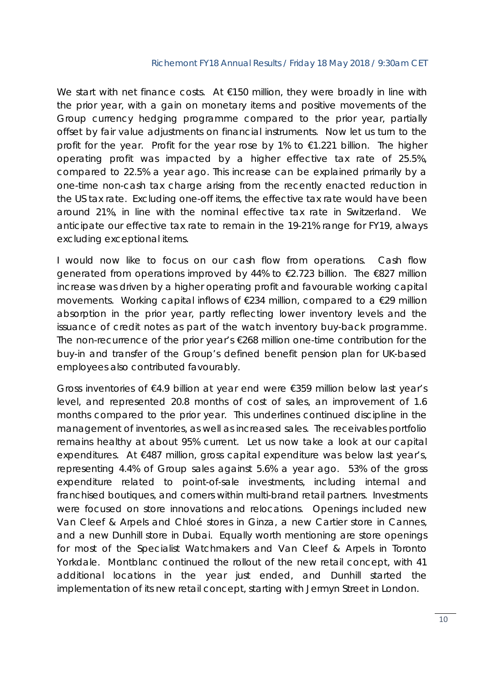We start with net finance costs. At €150 million, they were broadly in line with the prior year, with a gain on monetary items and positive movements of the Group currency hedging programme compared to the prior year, partially offset by fair value adjustments on financial instruments. Now let us turn to the profit for the year. Profit for the year rose by 1% to €1.221 billion. The higher operating profit was impacted by a higher effective tax rate of 25.5%, compared to 22.5% a year ago. This increase can be explained primarily by a one-time non-cash tax charge arising from the recently enacted reduction in the US tax rate. Excluding one-off items, the effective tax rate would have been around 21%, in line with the nominal effective tax rate in Switzerland. We anticipate our effective tax rate to remain in the 19-21% range for FY19, always excluding exceptional items.

I would now like to focus on our cash flow from operations. Cash flow generated from operations improved by 44% to €2.723 billion. The €827 million increase was driven by a higher operating profit and favourable working capital movements. Working capital inflows of €234 million, compared to a €29 million absorption in the prior year, partly reflecting lower inventory levels and the issuance of credit notes as part of the watch inventory buy-back programme. The non-recurrence of the prior year's €268 million one-time contribution for the buy-in and transfer of the Group's defined benefit pension plan for UK-based employees also contributed favourably.

Gross inventories of €4.9 billion at year end were €359 million below last year's level, and represented 20.8 months of cost of sales, an improvement of 1.6 months compared to the prior year. This underlines continued discipline in the management of inventories, as well as increased sales. The receivables portfolio remains healthy at about 95% current. Let us now take a look at our capital expenditures. At €487 million, gross capital expenditure was below last year's, representing 4.4% of Group sales against 5.6% a year ago. 53% of the gross expenditure related to point-of-sale investments, including internal and franchised boutiques, and corners within multi-brand retail partners. Investments were focused on store innovations and relocations. Openings included new Van Cleef & Arpels and Chloé stores in Ginza, a new Cartier store in Cannes, and a new Dunhill store in Dubai. Equally worth mentioning are store openings for most of the Specialist Watchmakers and Van Cleef & Arpels in Toronto Yorkdale. Montblanc continued the rollout of the new retail concept, with 41 additional locations in the year just ended, and Dunhill started the implementation of its new retail concept, starting with Jermyn Street in London.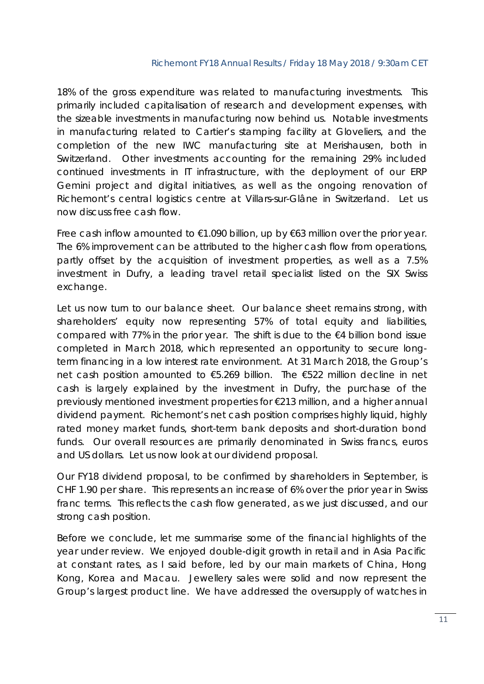18% of the gross expenditure was related to manufacturing investments. This primarily included capitalisation of research and development expenses, with the sizeable investments in manufacturing now behind us. Notable investments in manufacturing related to Cartier's stamping facility at Gloveliers, and the completion of the new IWC manufacturing site at Merishausen, both in Switzerland. Other investments accounting for the remaining 29% included continued investments in IT infrastructure, with the deployment of our ERP Gemini project and digital initiatives, as well as the ongoing renovation of Richemont's central logistics centre at Villars-sur-Glâne in Switzerland. Let us now discuss free cash flow.

Free cash inflow amounted to  $€1.090$  billion, up by  $€63$  million over the prior year. The 6% improvement can be attributed to the higher cash flow from operations, partly offset by the acquisition of investment properties, as well as a 7.5% investment in Dufry, a leading travel retail specialist listed on the SIX Swiss exchange.

Let us now turn to our balance sheet. Our balance sheet remains strong, with shareholders' equity now representing 57% of total equity and liabilities, compared with 77% in the prior year. The shift is due to the €4 billion bond issue completed in March 2018, which represented an opportunity to secure longterm financing in a low interest rate environment. At 31 March 2018, the Group's net cash position amounted to €5.269 billion. The €522 million decline in net cash is largely explained by the investment in Dufry, the purchase of the previously mentioned investment properties for €213 million, and a higher annual dividend payment. Richemont's net cash position comprises highly liquid, highly rated money market funds, short-term bank deposits and short-duration bond funds. Our overall resources are primarily denominated in Swiss francs, euros and US dollars. Let us now look at our dividend proposal.

Our FY18 dividend proposal, to be confirmed by shareholders in September, is CHF 1.90 per share. This represents an increase of 6% over the prior year in Swiss franc terms. This reflects the cash flow generated, as we just discussed, and our strong cash position.

Before we conclude, let me summarise some of the financial highlights of the year under review. We enjoyed double-digit growth in retail and in Asia Pacific at constant rates, as I said before, led by our main markets of China, Hong Kong, Korea and Macau. Jewellery sales were solid and now represent the Group's largest product line. We have addressed the oversupply of watches in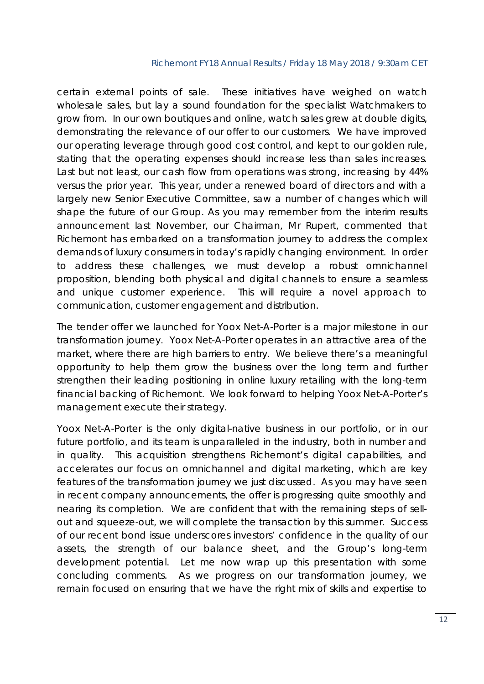certain external points of sale. These initiatives have weighed on watch wholesale sales, but lay a sound foundation for the specialist Watchmakers to grow from. In our own boutiques and online, watch sales grew at double digits, demonstrating the relevance of our offer to our customers. We have improved our operating leverage through good cost control, and kept to our golden rule, stating that the operating expenses should increase less than sales increases. Last but not least, our cash flow from operations was strong, increasing by 44% versus the prior year. This year, under a renewed board of directors and with a largely new Senior Executive Committee, saw a number of changes which will shape the future of our Group. As you may remember from the interim results announcement last November, our Chairman, Mr Rupert, commented that Richemont has embarked on a transformation journey to address the complex demands of luxury consumers in today's rapidly changing environment. In order to address these challenges, we must develop a robust omnichannel proposition, blending both physical and digital channels to ensure a seamless and unique customer experience. This will require a novel approach to communication, customer engagement and distribution.

The tender offer we launched for Yoox Net-A-Porter is a major milestone in our transformation journey. Yoox Net-A-Porter operates in an attractive area of the market, where there are high barriers to entry. We believe there's a meaningful opportunity to help them grow the business over the long term and further strengthen their leading positioning in online luxury retailing with the long-term financial backing of Richemont. We look forward to helping Yoox Net-A-Porter's management execute their strategy.

Yoox Net-A-Porter is the only digital-native business in our portfolio, or in our future portfolio, and its team is unparalleled in the industry, both in number and in quality. This acquisition strengthens Richemont's digital capabilities, and accelerates our focus on omnichannel and digital marketing, which are key features of the transformation journey we just discussed. As you may have seen in recent company announcements, the offer is progressing quite smoothly and nearing its completion. We are confident that with the remaining steps of sellout and squeeze-out, we will complete the transaction by this summer. Success of our recent bond issue underscores investors' confidence in the quality of our assets, the strength of our balance sheet, and the Group's long-term development potential. Let me now wrap up this presentation with some concluding comments. As we progress on our transformation journey, we remain focused on ensuring that we have the right mix of skills and expertise to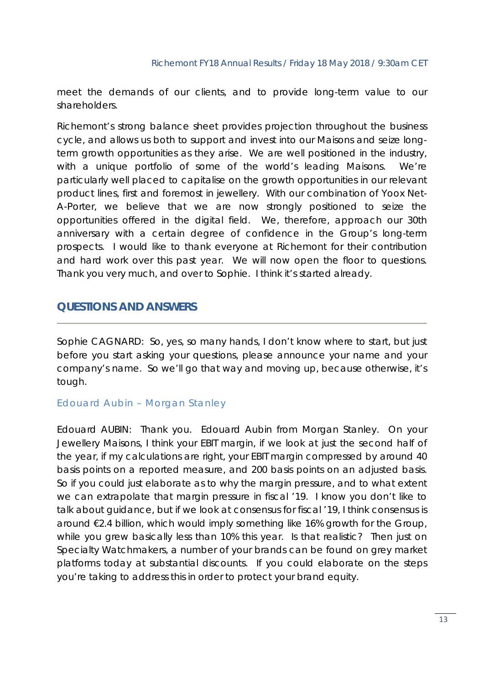meet the demands of our clients, and to provide long-term value to our shareholders.

Richemont's strong balance sheet provides projection throughout the business cycle, and allows us both to support and invest into our Maisons and seize longterm growth opportunities as they arise. We are well positioned in the industry, with a unique portfolio of some of the world's leading Maisons. We're particularly well placed to capitalise on the growth opportunities in our relevant product lines, first and foremost in jewellery. With our combination of Yoox Net-A-Porter, we believe that we are now strongly positioned to seize the opportunities offered in the digital field. We, therefore, approach our 30th anniversary with a certain degree of confidence in the Group's long-term prospects. I would like to thank everyone at Richemont for their contribution and hard work over this past year. We will now open the floor to questions. Thank you very much, and over to Sophie. I think it's started already.

## **QUESTIONS AND ANSWERS**

Sophie CAGNARD: So, yes, so many hands, I don't know where to start, but just before you start asking your questions, please announce your name and your company's name. So we'll go that way and moving up, because otherwise, it's tough.

## *Edouard Aubin – Morgan Stanley*

Edouard AUBIN: Thank you. Edouard Aubin from Morgan Stanley. On your Jewellery Maisons, I think your EBIT margin, if we look at just the second half of the year, if my calculations are right, your EBIT margin compressed by around 40 basis points on a reported measure, and 200 basis points on an adjusted basis. So if you could just elaborate as to why the margin pressure, and to what extent we can extrapolate that margin pressure in fiscal '19. I know you don't like to talk about guidance, but if we look at consensus for fiscal '19, I think consensus is around €2.4 billion, which would imply something like 16% growth for the Group, while you grew basically less than 10% this year. Is that realistic? Then just on Specialty Watchmakers, a number of your brands can be found on grey market platforms today at substantial discounts. If you could elaborate on the steps you're taking to address this in order to protect your brand equity.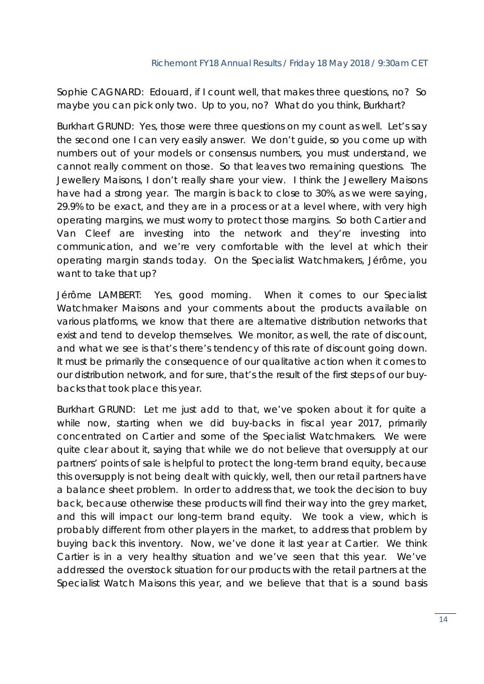Sophie CAGNARD: Edouard, if I count well, that makes three questions, no? So maybe you can pick only two. Up to you, no? What do you think, Burkhart?

Burkhart GRUND: Yes, those were three questions on my count as well. Let's say the second one I can very easily answer. We don't guide, so you come up with numbers out of your models or consensus numbers, you must understand, we cannot really comment on those. So that leaves two remaining questions. The Jewellery Maisons, I don't really share your view. I think the Jewellery Maisons have had a strong year. The margin is back to close to 30%, as we were saying, 29.9% to be exact, and they are in a process or at a level where, with very high operating margins, we must worry to protect those margins. So both Cartier and Van Cleef are investing into the network and they're investing into communication, and we're very comfortable with the level at which their operating margin stands today. On the Specialist Watchmakers, Jérôme, you want to take that up?

Jérôme LAMBERT: Yes, good morning. When it comes to our Specialist Watchmaker Maisons and your comments about the products available on various platforms, we know that there are alternative distribution networks that exist and tend to develop themselves. We monitor, as well, the rate of discount, and what we see is that's there's tendency of this rate of discount going down. It must be primarily the consequence of our qualitative action when it comes to our distribution network, and for sure, that's the result of the first steps of our buybacks that took place this year.

Burkhart GRUND: Let me just add to that, we've spoken about it for quite a while now, starting when we did buy-backs in fiscal year 2017, primarily concentrated on Cartier and some of the Specialist Watchmakers. We were quite clear about it, saying that while we do not believe that oversupply at our partners' points of sale is helpful to protect the long-term brand equity, because this oversupply is not being dealt with quickly, well, then our retail partners have a balance sheet problem. In order to address that, we took the decision to buy back, because otherwise these products will find their way into the grey market, and this will impact our long-term brand equity. We took a view, which is probably different from other players in the market, to address that problem by buying back this inventory. Now, we've done it last year at Cartier. We think Cartier is in a very healthy situation and we've seen that this year. We've addressed the overstock situation for our products with the retail partners at the Specialist Watch Maisons this year, and we believe that that is a sound basis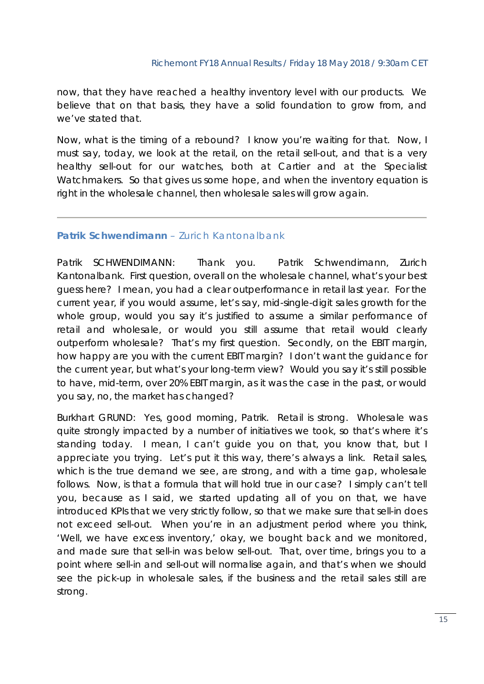now, that they have reached a healthy inventory level with our products. We believe that on that basis, they have a solid foundation to grow from, and we've stated that.

Now, what is the timing of a rebound? I know you're waiting for that. Now, I must say, today, we look at the retail, on the retail sell-out, and that is a very healthy sell-out for our watches, both at Cartier and at the Specialist Watchmakers. So that gives us some hope, and when the inventory equation is right in the wholesale channel, then wholesale sales will grow again.

## *Patrik Schwendimann – Zurich Kantonalbank*

Patrik SCHWENDIMANN: Thank you. Patrik Schwendimann, Zurich Kantonalbank. First question, overall on the wholesale channel, what's your best guess here? I mean, you had a clear outperformance in retail last year. For the current year, if you would assume, let's say, mid-single-digit sales growth for the whole group, would you say it's justified to assume a similar performance of retail and wholesale, or would you still assume that retail would clearly outperform wholesale? That's my first question. Secondly, on the EBIT margin, how happy are you with the current EBIT margin? I don't want the guidance for the current year, but what's your long-term view? Would you say it's still possible to have, mid-term, over 20% EBIT margin, as it was the case in the past, or would you say, no, the market has changed?

Burkhart GRUND: Yes, good morning, Patrik. Retail is strong. Wholesale was quite strongly impacted by a number of initiatives we took, so that's where it's standing today. I mean, I can't guide you on that, you know that, but I appreciate you trying. Let's put it this way, there's always a link. Retail sales, which is the true demand we see, are strong, and with a time gap, wholesale follows. Now, is that a formula that will hold true in our case? I simply can't tell you, because as I said, we started updating all of you on that, we have introduced KPIs that we very strictly follow, so that we make sure that sell-in does not exceed sell-out. When you're in an adjustment period where you think, 'Well, we have excess inventory,' okay, we bought back and we monitored, and made sure that sell-in was below sell-out. That, over time, brings you to a point where sell-in and sell-out will normalise again, and that's when we should see the pick-up in wholesale sales, if the business and the retail sales still are strong.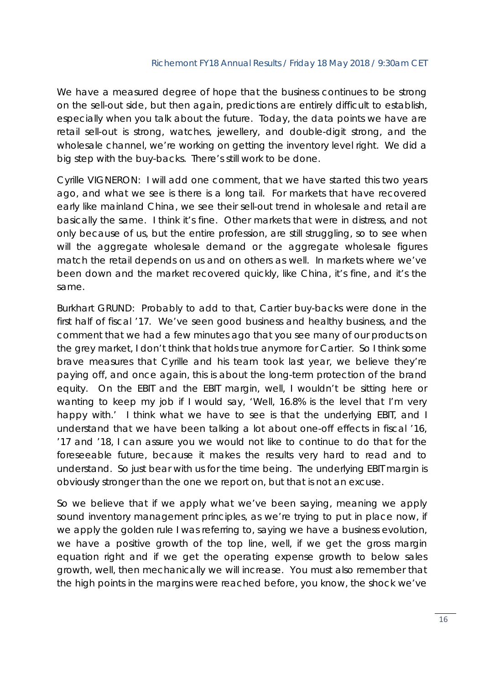We have a measured degree of hope that the business continues to be strong on the sell-out side, but then again, predictions are entirely difficult to establish, especially when you talk about the future. Today, the data points we have are retail sell-out is strong, watches, jewellery, and double-digit strong, and the wholesale channel, we're working on getting the inventory level right. We did a big step with the buy-backs. There's still work to be done.

Cyrille VIGNERON: I will add one comment, that we have started this two years ago, and what we see is there is a long tail. For markets that have recovered early like mainland China, we see their sell-out trend in wholesale and retail are basically the same. I think it's fine. Other markets that were in distress, and not only because of us, but the entire profession, are still struggling, so to see when will the aggregate wholesale demand or the aggregate wholesale figures match the retail depends on us and on others as well. In markets where we've been down and the market recovered quickly, like China, it's fine, and it's the same.

Burkhart GRUND: Probably to add to that, Cartier buy-backs were done in the first half of fiscal '17. We've seen good business and healthy business, and the comment that we had a few minutes ago that you see many of our products on the grey market, I don't think that holds true anymore for Cartier. So I think some brave measures that Cyrille and his team took last year, we believe they're paying off, and once again, this is about the long-term protection of the brand equity. On the EBIT and the EBIT margin, well, I wouldn't be sitting here or wanting to keep my job if I would say, 'Well, 16.8% is the level that I'm very happy with.' I think what we have to see is that the underlying EBIT, and I understand that we have been talking a lot about one-off effects in fiscal '16, '17 and '18, I can assure you we would not like to continue to do that for the foreseeable future, because it makes the results very hard to read and to understand. So just bear with us for the time being. The underlying EBIT margin is obviously stronger than the one we report on, but that is not an excuse.

So we believe that if we apply what we've been saying, meaning we apply sound inventory management principles, as we're trying to put in place now, if we apply the golden rule I was referring to, saying we have a business evolution, we have a positive growth of the top line, well, if we get the gross margin equation right and if we get the operating expense growth to below sales growth, well, then mechanically we will increase. You must also remember that the high points in the margins were reached before, you know, the shock we've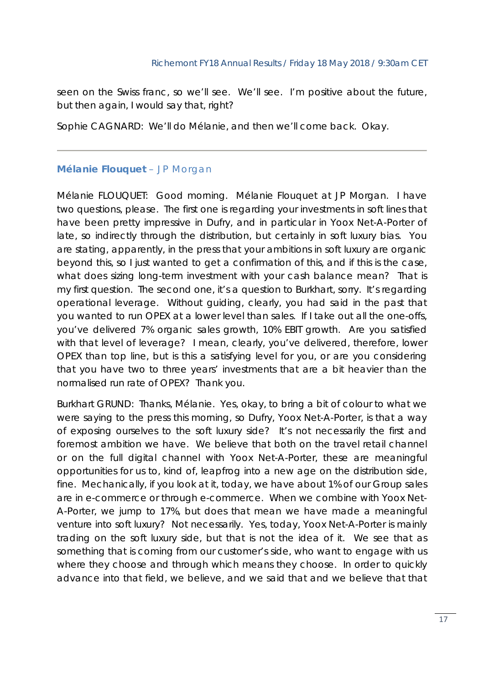seen on the Swiss franc, so we'll see. We'll see. I'm positive about the future, but then again, I would say that, right?

Sophie CAGNARD: We'll do Mélanie, and then we'll come back. Okay.

## *Mélanie Flouquet – JP Morgan*

Mélanie FLOUQUET: Good morning. Mélanie Flouquet at JP Morgan. I have two questions, please. The first one is regarding your investments in soft lines that have been pretty impressive in Dufry, and in particular in Yoox Net-A-Porter of late, so indirectly through the distribution, but certainly in soft luxury bias. You are stating, apparently, in the press that your ambitions in soft luxury are organic beyond this, so I just wanted to get a confirmation of this, and if this is the case, what does sizing long-term investment with your cash balance mean? That is my first question. The second one, it's a question to Burkhart, sorry. It's regarding operational leverage. Without guiding, clearly, you had said in the past that you wanted to run OPEX at a lower level than sales. If I take out all the one-offs, you've delivered 7% organic sales growth, 10% EBIT growth. Are you satisfied with that level of leverage? I mean, clearly, you've delivered, therefore, lower OPEX than top line, but is this a satisfying level for you, or are you considering that you have two to three years' investments that are a bit heavier than the normalised run rate of OPEX? Thank you.

Burkhart GRUND: Thanks, Mélanie. Yes, okay, to bring a bit of colour to what we were saying to the press this morning, so Dufry, Yoox Net-A-Porter, is that a way of exposing ourselves to the soft luxury side? It's not necessarily the first and foremost ambition we have. We believe that both on the travel retail channel or on the full digital channel with Yoox Net-A-Porter, these are meaningful opportunities for us to, kind of, leapfrog into a new age on the distribution side, fine. Mechanically, if you look at it, today, we have about 1% of our Group sales are in e-commerce or through e-commerce. When we combine with Yoox Net-A-Porter, we jump to 17%, but does that mean we have made a meaningful venture into soft luxury? Not necessarily. Yes, today, Yoox Net-A-Porter is mainly trading on the soft luxury side, but that is not the idea of it. We see that as something that is coming from our customer's side, who want to engage with us where they choose and through which means they choose. In order to quickly advance into that field, we believe, and we said that and we believe that that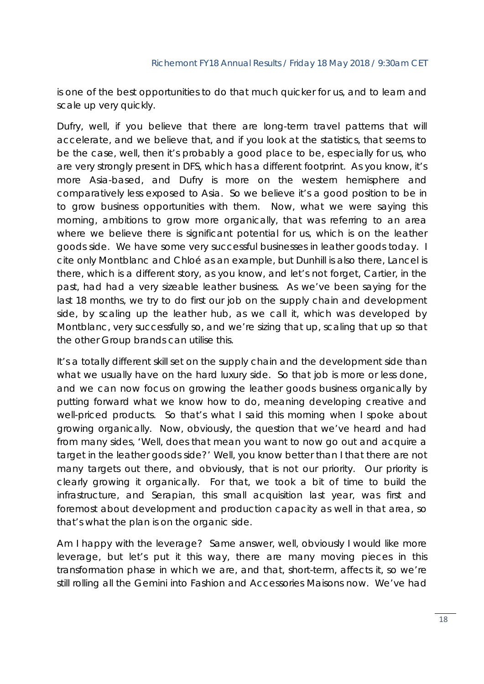is one of the best opportunities to do that much quicker for us, and to learn and scale up very quickly.

Dufry, well, if you believe that there are long-term travel patterns that will accelerate, and we believe that, and if you look at the statistics, that seems to be the case, well, then it's probably a good place to be, especially for us, who are very strongly present in DFS, which has a different footprint. As you know, it's more Asia-based, and Dufry is more on the western hemisphere and comparatively less exposed to Asia. So we believe it's a good position to be in to grow business opportunities with them. Now, what we were saying this morning, ambitions to grow more organically, that was referring to an area where we believe there is significant potential for us, which is on the leather goods side. We have some very successful businesses in leather goods today. I cite only Montblanc and Chloé as an example, but Dunhill is also there, Lancel is there, which is a different story, as you know, and let's not forget, Cartier, in the past, had had a very sizeable leather business. As we've been saying for the last 18 months, we try to do first our job on the supply chain and development side, by scaling up the leather hub, as we call it, which was developed by Montblanc, very successfully so, and we're sizing that up, scaling that up so that the other Group brands can utilise this.

It's a totally different skill set on the supply chain and the development side than what we usually have on the hard luxury side. So that job is more or less done, and we can now focus on growing the leather goods business organically by putting forward what we know how to do, meaning developing creative and well-priced products. So that's what I said this morning when I spoke about growing organically. Now, obviously, the question that we've heard and had from many sides, 'Well, does that mean you want to now go out and acquire a target in the leather goods side?' Well, you know better than I that there are not many targets out there, and obviously, that is not our priority. Our priority is clearly growing it organically. For that, we took a bit of time to build the infrastructure, and Serapian, this small acquisition last year, was first and foremost about development and production capacity as well in that area, so that's what the plan is on the organic side.

Am I happy with the leverage? Same answer, well, obviously I would like more leverage, but let's put it this way, there are many moving pieces in this transformation phase in which we are, and that, short-term, affects it, so we're still rolling all the Gemini into Fashion and Accessories Maisons now. We've had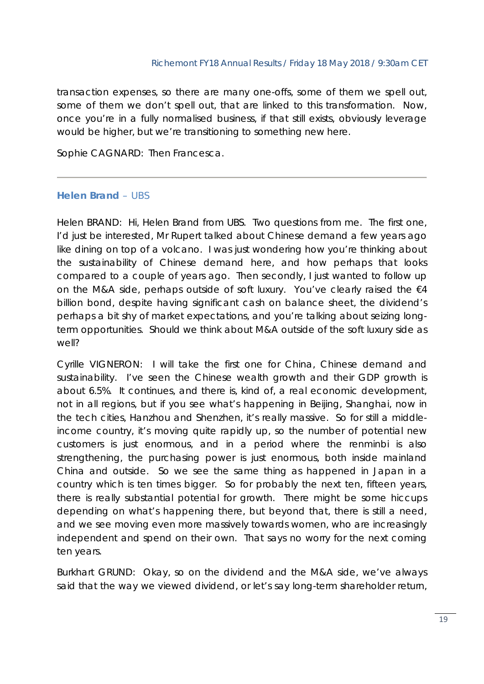transaction expenses, so there are many one-offs, some of them we spell out, some of them we don't spell out, that are linked to this transformation. Now, once you're in a fully normalised business, if that still exists, obviously leverage would be higher, but we're transitioning to something new here.

Sophie CAGNARD: Then Francesca.

## *Helen Brand – UBS*

Helen BRAND: Hi, Helen Brand from UBS. Two questions from me. The first one, I'd just be interested, Mr Rupert talked about Chinese demand a few years ago like dining on top of a volcano. I was just wondering how you're thinking about the sustainability of Chinese demand here, and how perhaps that looks compared to a couple of years ago. Then secondly, I just wanted to follow up on the M&A side, perhaps outside of soft luxury. You've clearly raised the €4 billion bond, despite having significant cash on balance sheet, the dividend's perhaps a bit shy of market expectations, and you're talking about seizing longterm opportunities. Should we think about M&A outside of the soft luxury side as well?

Cyrille VIGNERON: I will take the first one for China, Chinese demand and sustainability. I've seen the Chinese wealth growth and their GDP growth is about 6.5%. It continues, and there is, kind of, a real economic development, not in all regions, but if you see what's happening in Beijing, Shanghai, now in the tech cities, Hanzhou and Shenzhen, it's really massive. So for still a middleincome country, it's moving quite rapidly up, so the number of potential new customers is just enormous, and in a period where the renminbi is also strengthening, the purchasing power is just enormous, both inside mainland China and outside. So we see the same thing as happened in Japan in a country which is ten times bigger. So for probably the next ten, fifteen years, there is really substantial potential for growth. There might be some hiccups depending on what's happening there, but beyond that, there is still a need, and we see moving even more massively towards women, who are increasingly independent and spend on their own. That says no worry for the next coming ten years.

Burkhart GRUND: Okay, so on the dividend and the M&A side, we've always said that the way we viewed dividend, or let's say long-term shareholder return,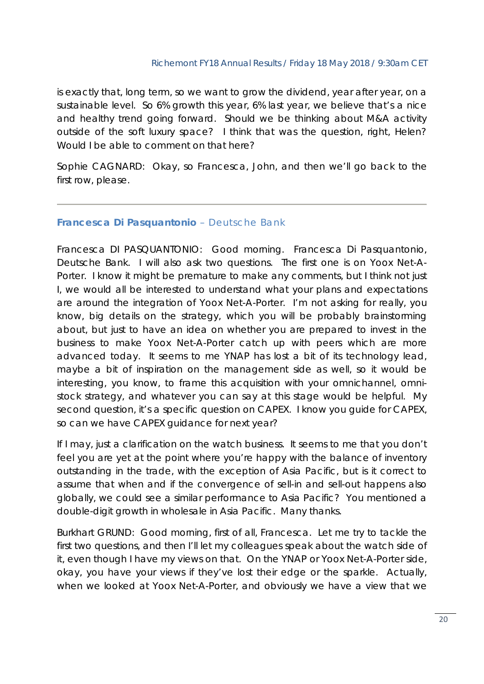is exactly that, long term, so we want to grow the dividend, year after year, on a sustainable level. So 6% growth this year, 6% last year, we believe that's a nice and healthy trend going forward. Should we be thinking about M&A activity outside of the soft luxury space? I think that was the question, right, Helen? Would I be able to comment on that here?

Sophie CAGNARD: Okay, so Francesca, John, and then we'll go back to the first row, please.

## *Francesca Di Pasquantonio – Deutsche Bank*

Francesca DI PASQUANTONIO: Good morning. Francesca Di Pasquantonio, Deutsche Bank. I will also ask two questions. The first one is on Yoox Net-A-Porter. I know it might be premature to make any comments, but I think not just I, we would all be interested to understand what your plans and expectations are around the integration of Yoox Net-A-Porter. I'm not asking for really, you know, big details on the strategy, which you will be probably brainstorming about, but just to have an idea on whether you are prepared to invest in the business to make Yoox Net-A-Porter catch up with peers which are more advanced today. It seems to me YNAP has lost a bit of its technology lead, maybe a bit of inspiration on the management side as well, so it would be interesting, you know, to frame this acquisition with your omnichannel, omnistock strategy, and whatever you can say at this stage would be helpful. My second question, it's a specific question on CAPEX. I know you guide for CAPEX, so can we have CAPEX guidance for next year?

If I may, just a clarification on the watch business. It seems to me that you don't feel you are yet at the point where you're happy with the balance of inventory outstanding in the trade, with the exception of Asia Pacific, but is it correct to assume that when and if the convergence of sell-in and sell-out happens also globally, we could see a similar performance to Asia Pacific? You mentioned a double-digit growth in wholesale in Asia Pacific. Many thanks.

Burkhart GRUND: Good morning, first of all, Francesca. Let me try to tackle the first two questions, and then I'll let my colleagues speak about the watch side of it, even though I have my views on that. On the YNAP or Yoox Net-A-Porter side, okay, you have your views if they've lost their edge or the sparkle. Actually, when we looked at Yoox Net-A-Porter, and obviously we have a view that we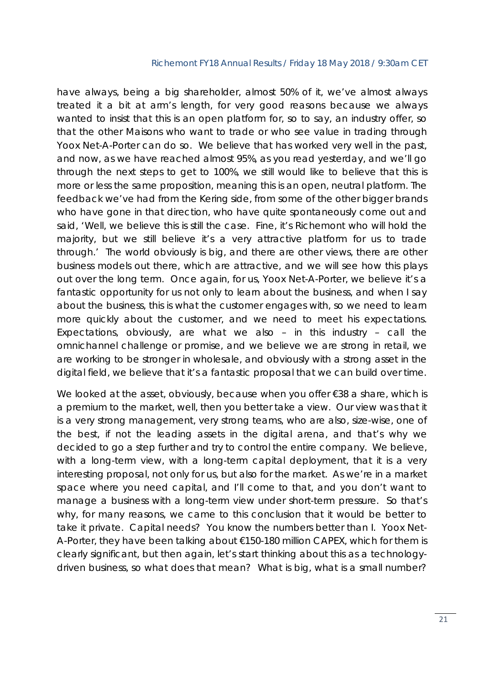have always, being a big shareholder, almost 50% of it, we've almost always treated it a bit at arm's length, for very good reasons because we always wanted to insist that this is an open platform for, so to say, an industry offer, so that the other Maisons who want to trade or who see value in trading through Yoox Net-A-Porter can do so. We believe that has worked very well in the past, and now, as we have reached almost 95%, as you read yesterday, and we'll go through the next steps to get to 100%, we still would like to believe that this is more or less the same proposition, meaning this is an open, neutral platform. The feedback we've had from the Kering side, from some of the other bigger brands who have gone in that direction, who have quite spontaneously come out and said, 'Well, we believe this is still the case. Fine, it's Richemont who will hold the majority, but we still believe it's a very attractive platform for us to trade through.' The world obviously is big, and there are other views, there are other business models out there, which are attractive, and we will see how this plays out over the long term. Once again, for us, Yoox Net-A-Porter, we believe it's a fantastic opportunity for us not only to learn about the business, and when I say about the business, this is what the customer engages with, so we need to learn more quickly about the customer, and we need to meet his expectations. Expectations, obviously, are what we also – in this industry – call the omnichannel challenge or promise, and we believe we are strong in retail, we are working to be stronger in wholesale, and obviously with a strong asset in the digital field, we believe that it's a fantastic proposal that we can build over time.

We looked at the asset, obviously, because when you offer €38 a share, which is a premium to the market, well, then you better take a view. Our view was that it is a very strong management, very strong teams, who are also, size-wise, one of the best, if not the leading assets in the digital arena, and that's why we decided to go a step further and try to control the entire company. We believe, with a long-term view, with a long-term capital deployment, that it is a very interesting proposal, not only for us, but also for the market. As we're in a market space where you need capital, and I'll come to that, and you don't want to manage a business with a long-term view under short-term pressure. So that's why, for many reasons, we came to this conclusion that it would be better to take it private. Capital needs? You know the numbers better than I. Yoox Net-A-Porter, they have been talking about €150-180 million CAPEX, which for them is clearly significant, but then again, let's start thinking about this as a technologydriven business, so what does that mean? What is big, what is a small number?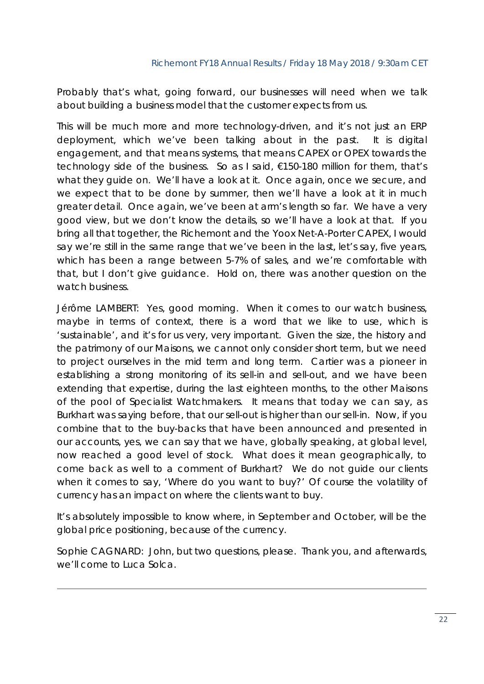Probably that's what, going forward, our businesses will need when we talk about building a business model that the customer expects from us.

This will be much more and more technology-driven, and it's not just an ERP deployment, which we've been talking about in the past. It is digital engagement, and that means systems, that means CAPEX or OPEX towards the technology side of the business. So as I said, €150-180 million for them, that's what they guide on. We'll have a look at it. Once again, once we secure, and we expect that to be done by summer, then we'll have a look at it in much greater detail. Once again, we've been at arm's length so far. We have a very good view, but we don't know the details, so we'll have a look at that. If you bring all that together, the Richemont and the Yoox Net-A-Porter CAPEX, I would say we're still in the same range that we've been in the last, let's say, five years, which has been a range between 5-7% of sales, and we're comfortable with that, but I don't give guidance. Hold on, there was another question on the watch business.

Jérôme LAMBERT: Yes, good morning. When it comes to our watch business, maybe in terms of context, there is a word that we like to use, which is 'sustainable', and it's for us very, very important. Given the size, the history and the patrimony of our Maisons, we cannot only consider short term, but we need to project ourselves in the mid term and long term. Cartier was a pioneer in establishing a strong monitoring of its sell-in and sell-out, and we have been extending that expertise, during the last eighteen months, to the other Maisons of the pool of Specialist Watchmakers. It means that today we can say, as Burkhart was saying before, that our sell-out is higher than our sell-in. Now, if you combine that to the buy-backs that have been announced and presented in our accounts, yes, we can say that we have, globally speaking, at global level, now reached a good level of stock. What does it mean geographically, to come back as well to a comment of Burkhart? We do not guide our clients when it comes to say, 'Where do you want to buy?' Of course the volatility of currency has an impact on where the clients want to buy.

It's absolutely impossible to know where, in September and October, will be the global price positioning, because of the currency.

Sophie CAGNARD: John, but two questions, please. Thank you, and afterwards, we'll come to Luca Solca.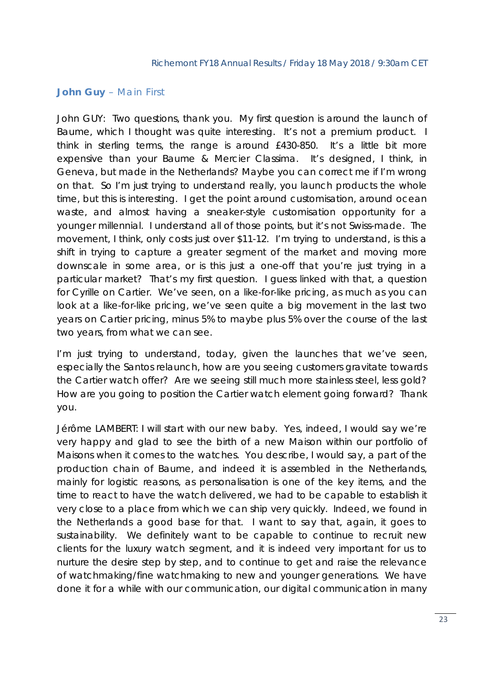## *John Guy – Main First*

John GUY: Two questions, thank you. My first question is around the launch of Baume, which I thought was quite interesting. It's not a premium product. I think in sterling terms, the range is around £430-850. It's a little bit more expensive than your Baume & Mercier Classima. It's designed, I think, in Geneva, but made in the Netherlands? Maybe you can correct me if I'm wrong on that. So I'm just trying to understand really, you launch products the whole time, but this is interesting. I get the point around customisation, around ocean waste, and almost having a sneaker-style customisation opportunity for a younger millennial. I understand all of those points, but it's not Swiss-made. The movement, I think, only costs just over \$11-12. I'm trying to understand, is this a shift in trying to capture a greater segment of the market and moving more downscale in some area, or is this just a one-off that you're just trying in a particular market? That's my first question. I guess linked with that, a question for Cyrille on Cartier. We've seen, on a like-for-like pricing, as much as you can look at a like-for-like pricing, we've seen quite a big movement in the last two years on Cartier pricing, minus 5% to maybe plus 5% over the course of the last two years, from what we can see.

I'm just trying to understand, today, given the launches that we've seen, especially the Santos relaunch, how are you seeing customers gravitate towards the Cartier watch offer? Are we seeing still much more stainless steel, less gold? How are you going to position the Cartier watch element going forward? Thank you.

Jérôme LAMBERT: I will start with our new baby. Yes, indeed, I would say we're very happy and glad to see the birth of a new Maison within our portfolio of Maisons when it comes to the watches. You describe, I would say, a part of the production chain of Baume, and indeed it is assembled in the Netherlands, mainly for logistic reasons, as personalisation is one of the key items, and the time to react to have the watch delivered, we had to be capable to establish it very close to a place from which we can ship very quickly. Indeed, we found in the Netherlands a good base for that. I want to say that, again, it goes to sustainability. We definitely want to be capable to continue to recruit new clients for the luxury watch segment, and it is indeed very important for us to nurture the desire step by step, and to continue to get and raise the relevance of watchmaking/fine watchmaking to new and younger generations. We have done it for a while with our communication, our digital communication in many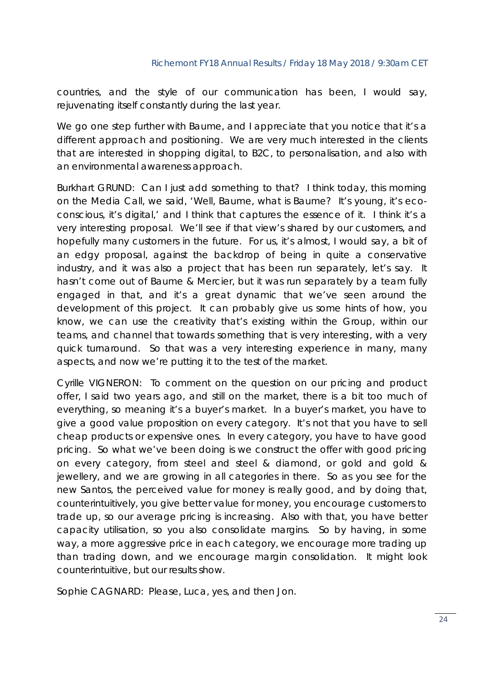countries, and the style of our communication has been, I would say, rejuvenating itself constantly during the last year.

We go one step further with Baume, and I appreciate that you notice that it's a different approach and positioning. We are very much interested in the clients that are interested in shopping digital, to B2C, to personalisation, and also with an environmental awareness approach.

Burkhart GRUND: Can I just add something to that? I think today, this morning on the Media Call, we said, 'Well, Baume, what is Baume? It's young, it's ecoconscious, it's digital,' and I think that captures the essence of it. I think it's a very interesting proposal. We'll see if that view's shared by our customers, and hopefully many customers in the future. For us, it's almost, I would say, a bit of an edgy proposal, against the backdrop of being in quite a conservative industry, and it was also a project that has been run separately, let's say. It hasn't come out of Baume & Mercier, but it was run separately by a team fully engaged in that, and it's a great dynamic that we've seen around the development of this project. It can probably give us some hints of how, you know, we can use the creativity that's existing within the Group, within our teams, and channel that towards something that is very interesting, with a very quick turnaround. So that was a very interesting experience in many, many aspects, and now we're putting it to the test of the market.

Cyrille VIGNERON: To comment on the question on our pricing and product offer, I said two years ago, and still on the market, there is a bit too much of everything, so meaning it's a buyer's market. In a buyer's market, you have to give a good value proposition on every category. It's not that you have to sell cheap products or expensive ones. In every category, you have to have good pricing. So what we've been doing is we construct the offer with good pricing on every category, from steel and steel & diamond, or gold and gold & jewellery, and we are growing in all categories in there. So as you see for the new Santos, the perceived value for money is really good, and by doing that, counterintuitively, you give better value for money, you encourage customers to trade up, so our average pricing is increasing. Also with that, you have better capacity utilisation, so you also consolidate margins. So by having, in some way, a more aggressive price in each category, we encourage more trading up than trading down, and we encourage margin consolidation. It might look counterintuitive, but our results show.

Sophie CAGNARD: Please, Luca, yes, and then Jon.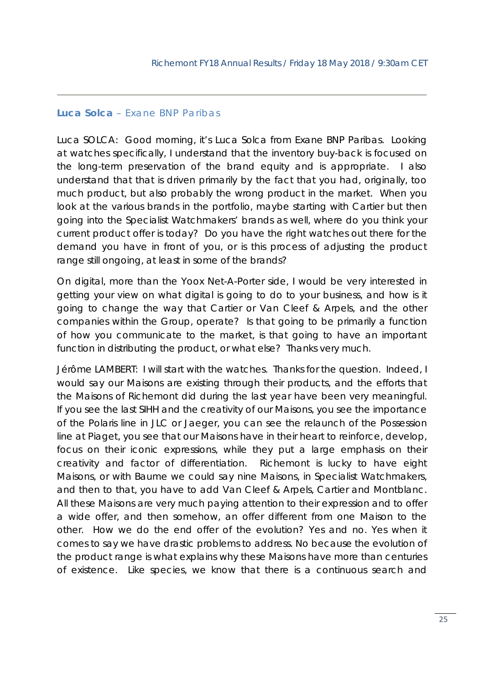## *Luca Solca – Exane BNP Paribas*

Luca SOLCA: Good morning, it's Luca Solca from Exane BNP Paribas. Looking at watches specifically, I understand that the inventory buy-back is focused on the long-term preservation of the brand equity and is appropriate. I also understand that that is driven primarily by the fact that you had, originally, too much product, but also probably the wrong product in the market. When you look at the various brands in the portfolio, maybe starting with Cartier but then going into the Specialist Watchmakers' brands as well, where do you think your current product offer is today? Do you have the right watches out there for the demand you have in front of you, or is this process of adjusting the product range still ongoing, at least in some of the brands?

On digital, more than the Yoox Net-A-Porter side, I would be very interested in getting your view on what digital is going to do to your business, and how is it going to change the way that Cartier or Van Cleef & Arpels, and the other companies within the Group, operate? Is that going to be primarily a function of how you communicate to the market, is that going to have an important function in distributing the product, or what else? Thanks very much.

Jérôme LAMBERT: I will start with the watches. Thanks for the question. Indeed, I would say our Maisons are existing through their products, and the efforts that the Maisons of Richemont did during the last year have been very meaningful. If you see the last SIHH and the creativity of our Maisons, you see the importance of the Polaris line in JLC or Jaeger, you can see the relaunch of the Possession line at Piaget, you see that our Maisons have in their heart to reinforce, develop, focus on their iconic expressions, while they put a large emphasis on their creativity and factor of differentiation. Richemont is lucky to have eight Maisons, or with Baume we could say nine Maisons, in Specialist Watchmakers, and then to that, you have to add Van Cleef & Arpels, Cartier and Montblanc. All these Maisons are very much paying attention to their expression and to offer a wide offer, and then somehow, an offer different from one Maison to the other. How we do the end offer of the evolution? Yes and no. Yes when it comes to say we have drastic problems to address. No because the evolution of the product range is what explains why these Maisons have more than centuries of existence. Like species, we know that there is a continuous search and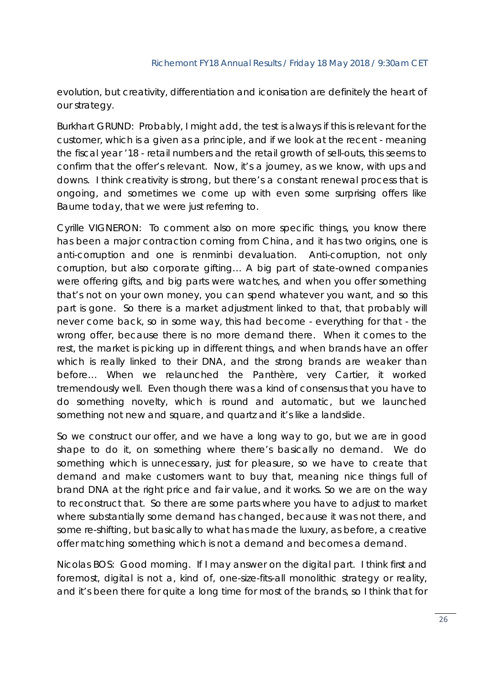evolution, but creativity, differentiation and iconisation are definitely the heart of our strategy.

Burkhart GRUND: Probably, I might add, the test is always if this is relevant for the customer, which is a given as a principle, and if we look at the recent - meaning the fiscal year '18 - retail numbers and the retail growth of sell-outs, this seems to confirm that the offer's relevant. Now, it's a journey, as we know, with ups and downs. I think creativity is strong, but there's a constant renewal process that is ongoing, and sometimes we come up with even some surprising offers like Baume today, that we were just referring to.

Cyrille VIGNERON: To comment also on more specific things, you know there has been a major contraction coming from China, and it has two origins, one is anti-corruption and one is renminbi devaluation. Anti-corruption, not only corruption, but also corporate gifting… A big part of state-owned companies were offering gifts, and big parts were watches, and when you offer something that's not on your own money, you can spend whatever you want, and so this part is gone. So there is a market adjustment linked to that, that probably will never come back, so in some way, this had become - everything for that - the wrong offer, because there is no more demand there. When it comes to the rest, the market is picking up in different things, and when brands have an offer which is really linked to their DNA, and the strong brands are weaker than before… When we relaunched the Panthère, very Cartier, it worked tremendously well. Even though there was a kind of consensus that you have to do something novelty, which is round and automatic, but we launched something not new and square, and quartz and it's like a landslide.

So we construct our offer, and we have a long way to go, but we are in good shape to do it, on something where there's basically no demand. We do something which is unnecessary, just for pleasure, so we have to create that demand and make customers want to buy that, meaning nice things full of brand DNA at the right price and fair value, and it works. So we are on the way to reconstruct that. So there are some parts where you have to adjust to market where substantially some demand has changed, because it was not there, and some re-shifting, but basically to what has made the luxury, as before, a creative offer matching something which is not a demand and becomes a demand.

Nicolas BOS: Good morning. If I may answer on the digital part. I think first and foremost, digital is not a, kind of, one-size-fits-all monolithic strategy or reality, and it's been there for quite a long time for most of the brands, so I think that for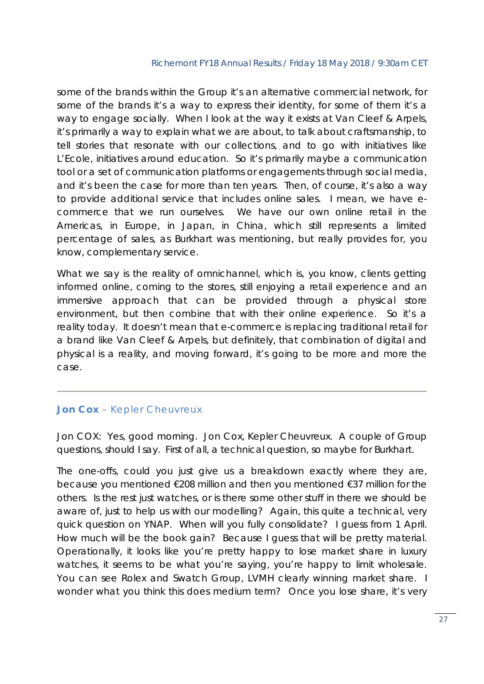some of the brands within the Group it's an alternative commercial network, for some of the brands it's a way to express their identity, for some of them it's a way to engage socially. When I look at the way it exists at Van Cleef & Arpels, it's primarily a way to explain what we are about, to talk about craftsmanship, to tell stories that resonate with our collections, and to go with initiatives like L'Ecole, initiatives around education. So it's primarily maybe a communication tool or a set of communication platforms or engagements through social media, and it's been the case for more than ten years. Then, of course, it's also a way to provide additional service that includes online sales. I mean, we have ecommerce that we run ourselves. We have our own online retail in the Americas, in Europe, in Japan, in China, which still represents a limited percentage of sales, as Burkhart was mentioning, but really provides for, you know, complementary service.

What we say is the reality of omnichannel, which is, you know, clients getting informed online, coming to the stores, still enjoying a retail experience and an immersive approach that can be provided through a physical store environment, but then combine that with their online experience. So it's a reality today. It doesn't mean that e-commerce is replacing traditional retail for a brand like Van Cleef & Arpels, but definitely, that combination of digital and physical is a reality, and moving forward, it's going to be more and more the case.

## *Jon Cox – Kepler Cheuvreux*

Jon COX: Yes, good morning. Jon Cox, Kepler Cheuvreux. A couple of Group questions, should I say. First of all, a technical question, so maybe for Burkhart.

The one-offs, could you just give us a breakdown exactly where they are, because you mentioned €208 million and then you mentioned €37 million for the others. Is the rest just watches, or is there some other stuff in there we should be aware of, just to help us with our modelling? Again, this quite a technical, very quick question on YNAP. When will you fully consolidate? I guess from 1 April. How much will be the book gain? Because I guess that will be pretty material. Operationally, it looks like you're pretty happy to lose market share in luxury watches, it seems to be what you're saying, you're happy to limit wholesale. You can see Rolex and Swatch Group, LVMH clearly winning market share. I wonder what you think this does medium term? Once you lose share, it's very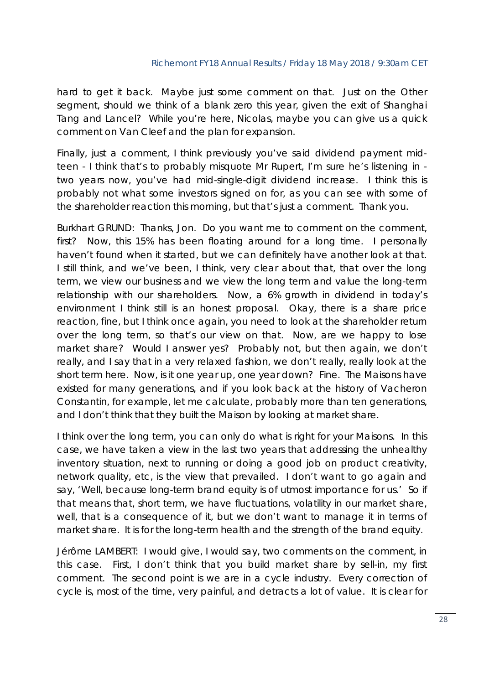hard to get it back. Maybe just some comment on that. Just on the Other segment, should we think of a blank zero this year, given the exit of Shanghai Tang and Lancel? While you're here, Nicolas, maybe you can give us a quick comment on Van Cleef and the plan for expansion.

Finally, just a comment, I think previously you've said dividend payment midteen - I think that's to probably misquote Mr Rupert, I'm sure he's listening in two years now, you've had mid-single-digit dividend increase. I think this is probably not what some investors signed on for, as you can see with some of the shareholder reaction this morning, but that's just a comment. Thank you.

Burkhart GRUND: Thanks, Jon. Do you want me to comment on the comment, first? Now, this 15% has been floating around for a long time. I personally haven't found when it started, but we can definitely have another look at that. I still think, and we've been, I think, very clear about that, that over the long term, we view our business and we view the long term and value the long-term relationship with our shareholders. Now, a 6% growth in dividend in today's environment I think still is an honest proposal. Okay, there is a share price reaction, fine, but I think once again, you need to look at the shareholder return over the long term, so that's our view on that. Now, are we happy to lose market share? Would I answer yes? Probably not, but then again, we don't really, and I say that in a very relaxed fashion, we don't really, really look at the short term here. Now, is it one year up, one year down? Fine. The Maisons have existed for many generations, and if you look back at the history of Vacheron Constantin, for example, let me calculate, probably more than ten generations, and I don't think that they built the Maison by looking at market share.

I think over the long term, you can only do what is right for your Maisons. In this case, we have taken a view in the last two years that addressing the unhealthy inventory situation, next to running or doing a good job on product creativity, network quality, etc, is the view that prevailed. I don't want to go again and say, 'Well, because long-term brand equity is of utmost importance for us.' So if that means that, short term, we have fluctuations, volatility in our market share, well, that is a consequence of it, but we don't want to manage it in terms of market share. It is for the long-term health and the strength of the brand equity.

Jérôme LAMBERT: I would give, I would say, two comments on the comment, in this case. First, I don't think that you build market share by sell-in, my first comment. The second point is we are in a cycle industry. Every correction of cycle is, most of the time, very painful, and detracts a lot of value. It is clear for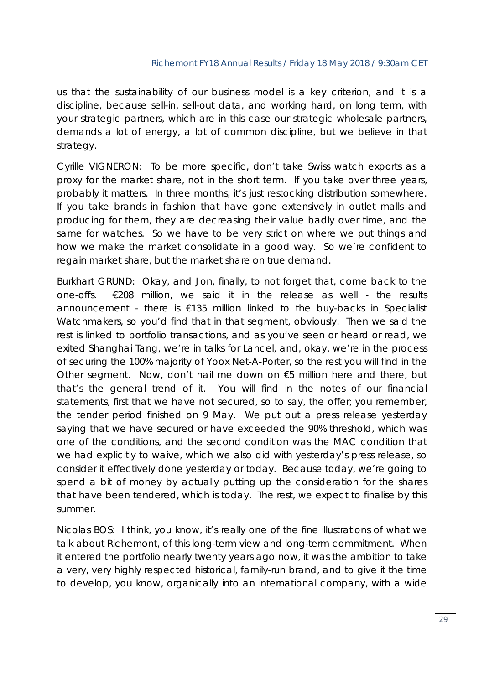us that the sustainability of our business model is a key criterion, and it is a discipline, because sell-in, sell-out data, and working hard, on long term, with your strategic partners, which are in this case our strategic wholesale partners, demands a lot of energy, a lot of common discipline, but we believe in that strategy.

Cyrille VIGNERON: To be more specific, don't take Swiss watch exports as a proxy for the market share, not in the short term. If you take over three years, probably it matters. In three months, it's just restocking distribution somewhere. If you take brands in fashion that have gone extensively in outlet malls and producing for them, they are decreasing their value badly over time, and the same for watches. So we have to be very strict on where we put things and how we make the market consolidate in a good way. So we're confident to regain market share, but the market share on true demand.

Burkhart GRUND: Okay, and Jon, finally, to not forget that, come back to the one-offs. €208 million, we said it in the release as well - the results announcement - there is €135 million linked to the buy-backs in Specialist Watchmakers, so you'd find that in that segment, obviously. Then we said the rest is linked to portfolio transactions, and as you've seen or heard or read, we exited Shanghai Tang, we're in talks for Lancel, and, okay, we're in the process of securing the 100% majority of Yoox Net-A-Porter, so the rest you will find in the Other segment. Now, don't nail me down on €5 million here and there, but that's the general trend of it. You will find in the notes of our financial statements, first that we have not secured, so to say, the offer; you remember, the tender period finished on 9 May. We put out a press release yesterday saying that we have secured or have exceeded the 90% threshold, which was one of the conditions, and the second condition was the MAC condition that we had explicitly to waive, which we also did with yesterday's press release, so consider it effectively done yesterday or today. Because today, we're going to spend a bit of money by actually putting up the consideration for the shares that have been tendered, which is today. The rest, we expect to finalise by this summer.

Nicolas BOS: I think, you know, it's really one of the fine illustrations of what we talk about Richemont, of this long-term view and long-term commitment. When it entered the portfolio nearly twenty years ago now, it was the ambition to take a very, very highly respected historical, family-run brand, and to give it the time to develop, you know, organically into an international company, with a wide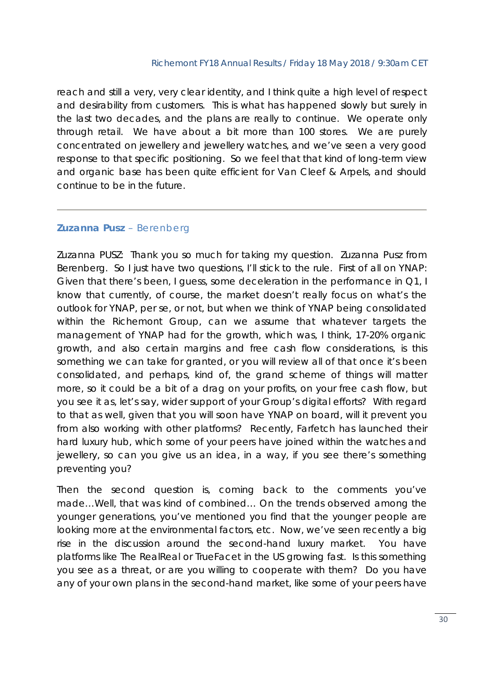reach and still a very, very clear identity, and I think quite a high level of respect and desirability from customers. This is what has happened slowly but surely in the last two decades, and the plans are really to continue. We operate only through retail. We have about a bit more than 100 stores. We are purely concentrated on jewellery and jewellery watches, and we've seen a very good response to that specific positioning. So we feel that that kind of long-term view and organic base has been quite efficient for Van Cleef & Arpels, and should continue to be in the future.

## *Zuzanna Pusz – Berenberg*

Zuzanna PUSZ: Thank you so much for taking my question. Zuzanna Pusz from Berenberg. So I just have two questions, I'll stick to the rule. First of all on YNAP: Given that there's been, I guess, some deceleration in the performance in Q1, I know that currently, of course, the market doesn't really focus on what's the outlook for YNAP, per se, or not, but when we think of YNAP being consolidated within the Richemont Group, can we assume that whatever targets the management of YNAP had for the growth, which was, I think, 17-20% organic growth, and also certain margins and free cash flow considerations, is this something we can take for granted, or you will review all of that once it's been consolidated, and perhaps, kind of, the grand scheme of things will matter more, so it could be a bit of a drag on your profits, on your free cash flow, but you see it as, let's say, wider support of your Group's digital efforts? With regard to that as well, given that you will soon have YNAP on board, will it prevent you from also working with other platforms? Recently, Farfetch has launched their hard luxury hub, which some of your peers have joined within the watches and jewellery, so can you give us an idea, in a way, if you see there's something preventing you?

Then the second question is, coming back to the comments you've made…Well, that was kind of combined… On the trends observed among the younger generations, you've mentioned you find that the younger people are looking more at the environmental factors, etc. Now, we've seen recently a big rise in the discussion around the second-hand luxury market. You have platforms like The RealReal or TrueFacet in the US growing fast. Is this something you see as a threat, or are you willing to cooperate with them? Do you have any of your own plans in the second-hand market, like some of your peers have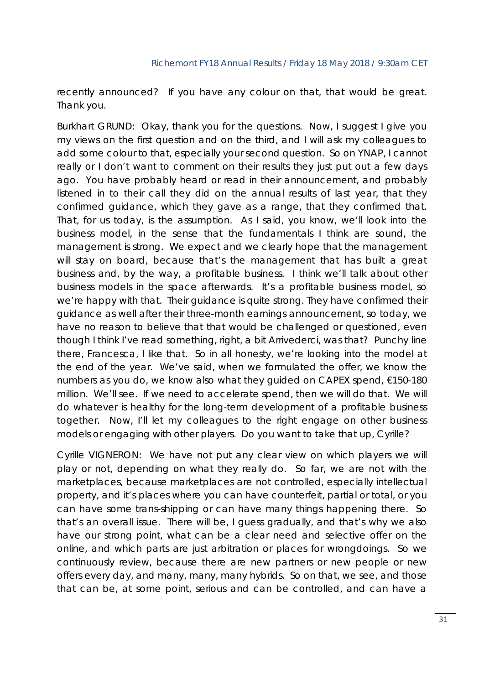recently announced? If you have any colour on that, that would be great. Thank you.

Burkhart GRUND: Okay, thank you for the questions. Now, I suggest I give you my views on the first question and on the third, and I will ask my colleagues to add some colour to that, especially your second question. So on YNAP, I cannot really or I don't want to comment on their results they just put out a few days ago. You have probably heard or read in their announcement, and probably listened in to their call they did on the annual results of last year, that they confirmed guidance, which they gave as a range, that they confirmed that. That, for us today, is the assumption. As I said, you know, we'll look into the business model, in the sense that the fundamentals I think are sound, the management is strong. We expect and we clearly hope that the management will stay on board, because that's the management that has built a great business and, by the way, a profitable business. I think we'll talk about other business models in the space afterwards. It's a profitable business model, so we're happy with that. Their guidance is quite strong. They have confirmed their guidance as well after their three-month earnings announcement, so today, we have no reason to believe that that would be challenged or questioned, even though I think I've read something, right, a bit *Arrivederci*, was that? Punchy line there, Francesca, I like that. So in all honesty, we're looking into the model at the end of the year. We've said, when we formulated the offer, we know the numbers as you do, we know also what they guided on CAPEX spend, €150-180 million. We'll see. If we need to accelerate spend, then we will do that. We will do whatever is healthy for the long-term development of a profitable business together. Now, I'll let my colleagues to the right engage on other business models or engaging with other players. Do you want to take that up, Cyrille?

Cyrille VIGNERON: We have not put any clear view on which players we will play or not, depending on what they really do. So far, we are not with the marketplaces, because marketplaces are not controlled, especially intellectual property, and it's places where you can have counterfeit, partial or total, or you can have some trans-shipping or can have many things happening there. So that's an overall issue. There will be, I guess gradually, and that's why we also have our strong point, what can be a clear need and selective offer on the online, and which parts are just arbitration or places for wrongdoings. So we continuously review, because there are new partners or new people or new offers every day, and many, many, many hybrids. So on that, we see, and those that can be, at some point, serious and can be controlled, and can have a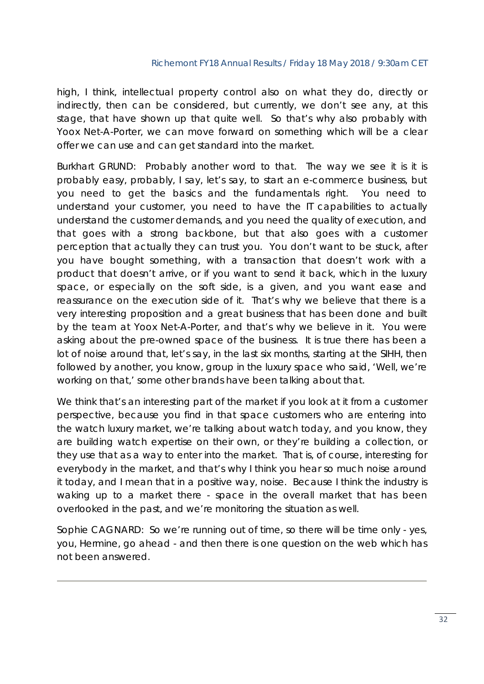high, I think, intellectual property control also on what they do, directly or indirectly, then can be considered, but currently, we don't see any, at this stage, that have shown up that quite well. So that's why also probably with Yoox Net-A-Porter, we can move forward on something which will be a clear offer we can use and can get standard into the market.

Burkhart GRUND: Probably another word to that. The way we see it is it is probably easy, probably, I say, let's say, to start an e-commerce business, but you need to get the basics and the fundamentals right. You need to understand your customer, you need to have the IT capabilities to actually understand the customer demands, and you need the quality of execution, and that goes with a strong backbone, but that also goes with a customer perception that actually they can trust you. You don't want to be stuck, after you have bought something, with a transaction that doesn't work with a product that doesn't arrive, or if you want to send it back, which in the luxury space, or especially on the soft side, is a given, and you want ease and reassurance on the execution side of it. That's why we believe that there is a very interesting proposition and a great business that has been done and built by the team at Yoox Net-A-Porter, and that's why we believe in it. You were asking about the pre-owned space of the business. It is true there has been a lot of noise around that, let's say, in the last six months, starting at the SIHH, then followed by another, you know, group in the luxury space who said, 'Well, we're working on that,' some other brands have been talking about that.

We think that's an interesting part of the market if you look at it from a customer perspective, because you find in that space customers who are entering into the watch luxury market, we're talking about watch today, and you know, they are building watch expertise on their own, or they're building a collection, or they use that as a way to enter into the market. That is, of course, interesting for everybody in the market, and that's why I think you hear so much noise around it today, and I mean that in a positive way, noise. Because I think the industry is waking up to a market there - space in the overall market that has been overlooked in the past, and we're monitoring the situation as well.

Sophie CAGNARD: So we're running out of time, so there will be time only - yes, you, Hermine, go ahead - and then there is one question on the web which has not been answered.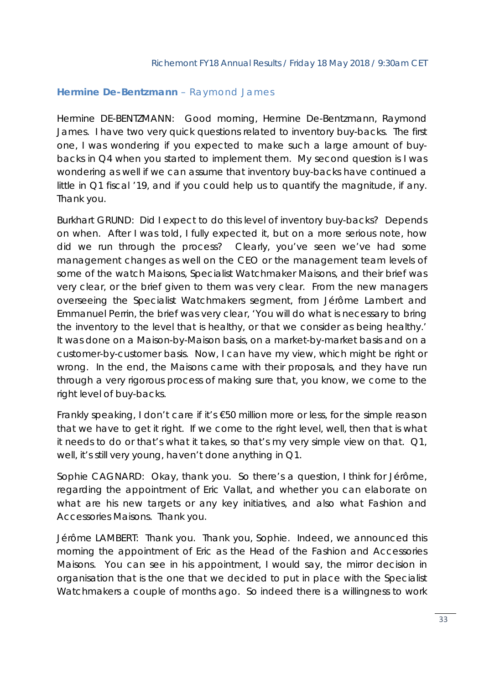## *Hermine De-Bentzmann – Raymond James*

Hermine DE-BENTZMANN: Good morning, Hermine De-Bentzmann, Raymond James. I have two very quick questions related to inventory buy-backs. The first one, I was wondering if you expected to make such a large amount of buybacks in Q4 when you started to implement them. My second question is I was wondering as well if we can assume that inventory buy-backs have continued a little in Q1 fiscal '19, and if you could help us to quantify the magnitude, if any. Thank you.

Burkhart GRUND: Did I expect to do this level of inventory buy-backs? Depends on when. After I was told, I fully expected it, but on a more serious note, how did we run through the process? Clearly, you've seen we've had some management changes as well on the CEO or the management team levels of some of the watch Maisons, Specialist Watchmaker Maisons, and their brief was very clear, or the brief given to them was very clear. From the new managers overseeing the Specialist Watchmakers segment, from Jérôme Lambert and Emmanuel Perrin, the brief was very clear, 'You will do what is necessary to bring the inventory to the level that is healthy, or that we consider as being healthy.' It was done on a Maison-by-Maison basis, on a market-by-market basis and on a customer-by-customer basis. Now, I can have my view, which might be right or wrong. In the end, the Maisons came with their proposals, and they have run through a very rigorous process of making sure that, you know, we come to the right level of buy-backs.

Frankly speaking, I don't care if it's €50 million more or less, for the simple reason that we have to get it right. If we come to the right level, well, then that is what it needs to do or that's what it takes, so that's my very simple view on that. Q1, well, it's still very young, haven't done anything in Q1.

Sophie CAGNARD: Okay, thank you. So there's a question, I think for Jérôme, regarding the appointment of Eric Vallat, and whether you can elaborate on what are his new targets or any key initiatives, and also what Fashion and Accessories Maisons. Thank you.

Jérôme LAMBERT: Thank you. Thank you, Sophie. Indeed, we announced this morning the appointment of Eric as the Head of the Fashion and Accessories Maisons. You can see in his appointment, I would say, the mirror decision in organisation that is the one that we decided to put in place with the Specialist Watchmakers a couple of months ago. So indeed there is a willingness to work